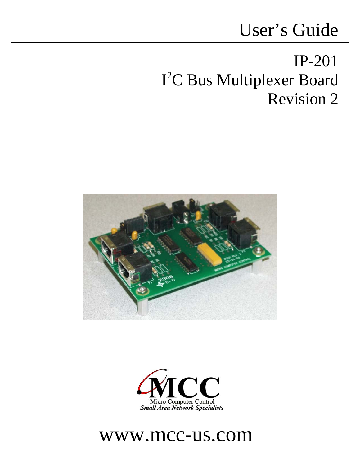# User's Guide

# IP-201 I 2 C Bus Multiplexer Board Revision 2





## www.mcc-us.com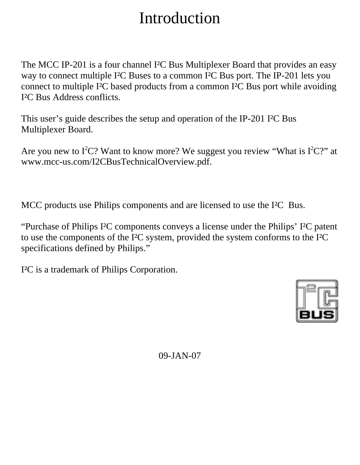## Introduction

The MCC IP-201 is a four channel I²C Bus Multiplexer Board that provides an easy way to connect multiple I²C Buses to a common I²C Bus port. The IP-201 lets you connect to multiple I²C based products from a common I²C Bus port while avoiding I²C Bus Address conflicts.

This user's guide describes the setup and operation of the IP-201 I²C Bus Multiplexer Board.

Are you new to  $I^2C$ ? Want to know more? We suggest you review "What is  $I^2C$ ?" at www.mcc-us.com/I2CBusTechnicalOverview.pdf.

MCC products use Philips components and are licensed to use the I²C Bus.

"Purchase of Philips I²C components conveys a license under the Philips' I²C patent to use the components of the I²C system, provided the system conforms to the I²C specifications defined by Philips."

I²C is a trademark of Philips Corporation.



09-JAN-07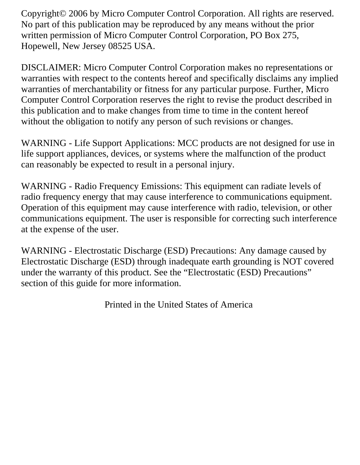Copyright© 2006 by Micro Computer Control Corporation. All rights are reserved. No part of this publication may be reproduced by any means without the prior written permission of Micro Computer Control Corporation, PO Box 275, Hopewell, New Jersey 08525 USA.

DISCLAIMER: Micro Computer Control Corporation makes no representations or warranties with respect to the contents hereof and specifically disclaims any implied warranties of merchantability or fitness for any particular purpose. Further, Micro Computer Control Corporation reserves the right to revise the product described in this publication and to make changes from time to time in the content hereof without the obligation to notify any person of such revisions or changes.

WARNING - Life Support Applications: MCC products are not designed for use in life support appliances, devices, or systems where the malfunction of the product can reasonably be expected to result in a personal injury.

WARNING - Radio Frequency Emissions: This equipment can radiate levels of radio frequency energy that may cause interference to communications equipment. Operation of this equipment may cause interference with radio, television, or other communications equipment. The user is responsible for correcting such interference at the expense of the user.

WARNING - Electrostatic Discharge (ESD) Precautions: Any damage caused by Electrostatic Discharge (ESD) through inadequate earth grounding is NOT covered under the warranty of this product. See the "Electrostatic (ESD) Precautions" section of this guide for more information.

Printed in the United States of America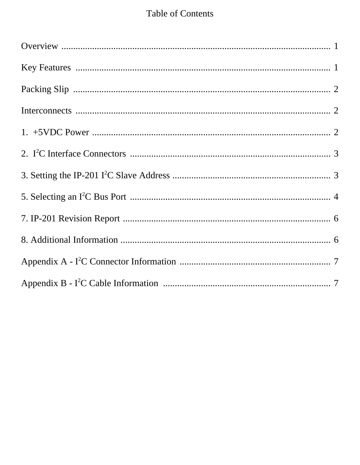#### **Table of Contents**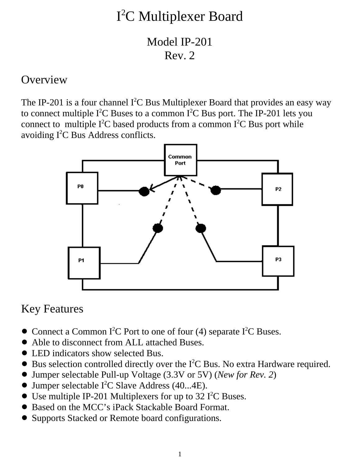## I 2 C Multiplexer Board

Model IP-201 Rev. 2

#### **Overview**

The IP-201 is a four channel  $I^2C$  Bus Multiplexer Board that provides an easy way to connect multiple  $I^2C$  Buses to a common  $I^2C$  Bus port. The IP-201 lets you connect to multiple  $I^2C$  based products from a common  $I^2C$  Bus port while avoiding  $I^2C$  Bus Address conflicts.



#### Key Features

- Connect a Common I<sup>2</sup>C Port to one of four (4) separate I<sup>2</sup>C Buses.
- Able to disconnect from ALL attached Buses.
- LED indicators show selected Bus.
- $\bullet$  Bus selection controlled directly over the I<sup>2</sup>C Bus. No extra Hardware required.
- ! Jumper selectable Pull-up Voltage (3.3V or 5V) (*New for Rev. 2*)
- Jumper selectable I<sup>2</sup>C Slave Address (40...4E).
- $\bullet$  Use multiple IP-201 Multiplexers for up to 32 I<sup>2</sup>C Buses.
- Based on the MCC's iPack Stackable Board Format.
- ! Supports Stacked or Remote board configurations.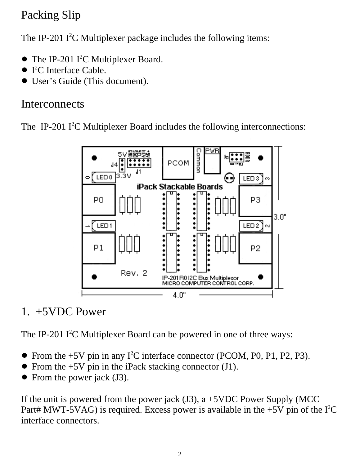## Packing Slip

The IP-201  $I^2C$  Multiplexer package includes the following items:

- The IP-201 I<sup>2</sup>C Multiplexer Board.
- $\bullet$  I<sup>2</sup>C Interface Cable.
- User's Guide (This document).

#### **Interconnects**

The IP-201  $I^2C$  Multiplexer Board includes the following interconnections:



#### 1. +5VDC Power

The IP-201  $I^2C$  Multiplexer Board can be powered in one of three ways:

- From the  $+5V$  pin in any I<sup>2</sup>C interface connector (PCOM, P0, P1, P2, P3).
- From the +5V pin in the iPack stacking connector (J1).
- $\bullet$  From the power jack (J3).

If the unit is powered from the power jack  $(J3)$ , a +5VDC Power Supply (MCC) Part# MWT-5VAG) is required. Excess power is available in the  $+5V$  pin of the  $I<sup>2</sup>C$ interface connectors.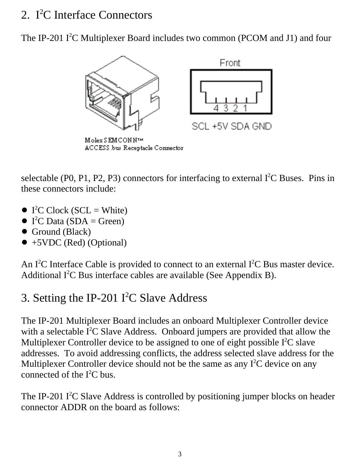### 2. I<sup>2</sup>C Interface Connectors

The IP-201  $I^2C$  Multiplexer Board includes two common (PCOM and J1) and four



Molex SEMCONN™ ACCESS bus Receptacle Connector

selectable (P0, P1, P2, P3) connectors for interfacing to external  $I<sup>2</sup>C$  Buses. Pins in these connectors include:

- $\bullet$  I<sup>2</sup>C Clock (SCL = White)
- $\bullet$  I<sup>2</sup>C Data (SDA = Green)
- $\bullet$  Ground (Black)
- $\bullet$  +5VDC (Red) (Optional)

An I<sup>2</sup>C Interface Cable is provided to connect to an external I<sup>2</sup>C Bus master device. Additional  $I^2C$  Bus interface cables are available (See Appendix B).

## 3. Setting the IP-201  $I^2C$  Slave Address

The IP-201 Multiplexer Board includes an onboard Multiplexer Controller device with a selectable  $I^2C$  Slave Address. Onboard jumpers are provided that allow the Multiplexer Controller device to be assigned to one of eight possible  $I<sup>2</sup>C$  slave addresses. To avoid addressing conflicts, the address selected slave address for the Multiplexer Controller device should not be the same as any  $I<sup>2</sup>C$  device on any connected of the  $I^2C$  bus.

The IP-201 I<sup>2</sup>C Slave Address is controlled by positioning jumper blocks on header connector ADDR on the board as follows: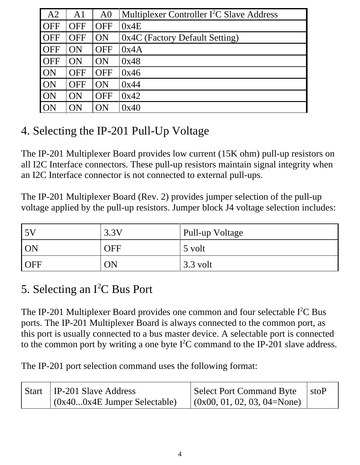| A2         | A <sub>1</sub> | A <sub>0</sub> | Multiplexer Controller I <sup>2</sup> C Slave Address |
|------------|----------------|----------------|-------------------------------------------------------|
| <b>OFF</b> | <b>OFF</b>     | <b>OFF</b>     | 0x4E                                                  |
| <b>OFF</b> | <b>OFF</b>     | ON             | 0x4C (Factory Default Setting)                        |
| <b>OFF</b> | ON             | <b>OFF</b>     | 0x4A                                                  |
| <b>OFF</b> | ON             | ON             | 0x48                                                  |
| ON         | <b>OFF</b>     | <b>OFF</b>     | 0x46                                                  |
| ON         | <b>OFF</b>     | ON             | 0x44                                                  |
| <b>ON</b>  | ON             | <b>OFF</b>     | 0x42                                                  |
| ON         | ОN             | ОN             | 0x40                                                  |

### 4. Selecting the IP-201 Pull-Up Voltage

The IP-201 Multiplexer Board provides low current (15K ohm) pull-up resistors on all I2C Interface connectors. These pull-up resistors maintain signal integrity when an I2C Interface connector is not connected to external pull-ups.

The IP-201 Multiplexer Board (Rev. 2) provides jumper selection of the pull-up voltage applied by the pull-up resistors. Jumper block J4 voltage selection includes:

| .5V        | 3.3V       | Pull-up Voltage |
|------------|------------|-----------------|
| <b>ON</b>  | <b>OFF</b> | 5 volt          |
| <b>OFF</b> | ON         | $3.3$ volt      |

### 5. Selecting an I<sup>2</sup>C Bus Port

The IP-201 Multiplexer Board provides one common and four selectable  $I^2C$  Bus ports. The IP-201 Multiplexer Board is always connected to the common port, as this port is usually connected to a bus master device. A selectable port is connected to the common port by writing a one byte  $I<sup>2</sup>C$  command to the IP-201 slave address.

The IP-201 port selection command uses the following format:

| Start   IP-201 Slave Address   | Select Port Command Byte        | stoP |
|--------------------------------|---------------------------------|------|
| $(0x400x4E$ Jumper Selectable) | $(0x00, 01, 02, 03, 04 = None)$ |      |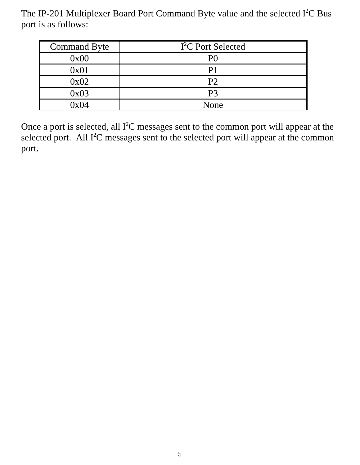The IP-201 Multiplexer Board Port Command Byte value and the selected  $I^2C$  Bus port is as follows:

| <b>Command Byte</b> | I <sup>2</sup> C Port Selected |
|---------------------|--------------------------------|
| 0x00                | P <sub>0</sub>                 |
| 0x01                | P1                             |
| 0x02                | P <sub>2</sub>                 |
| 0x03                | P <sub>3</sub>                 |
| 0x04                | None                           |

Once a port is selected, all  $I^2C$  messages sent to the common port will appear at the selected port. All  $I<sup>2</sup>C$  messages sent to the selected port will appear at the common port.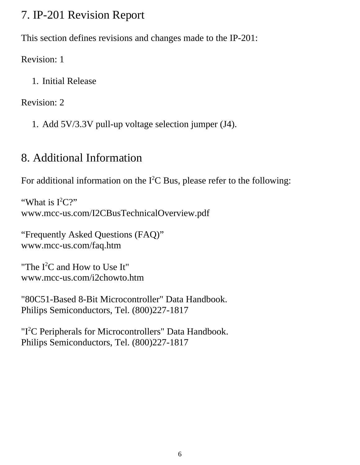#### 7. IP-201 Revision Report

This section defines revisions and changes made to the IP-201:

Revision: 1

1. Initial Release

Revision: 2

1. Add 5V/3.3V pull-up voltage selection jumper (J4).

## 8. Additional Information

For additional information on the  $I^2C$  Bus, please refer to the following:

"What is  $I^2C$ ?" www.mcc-us.com/I2CBusTechnicalOverview.pdf

"Frequently Asked Questions (FAQ)" www.mcc-us.com/faq.htm

"The  $I<sup>2</sup>C$  and How to Use It" www.mcc-us.com/i2chowto.htm

"80C51-Based 8-Bit Microcontroller" Data Handbook. Philips Semiconductors, Tel. (800)227-1817

"I<sup>2</sup>C Peripherals for Microcontrollers" Data Handbook. Philips Semiconductors, Tel. (800)227-1817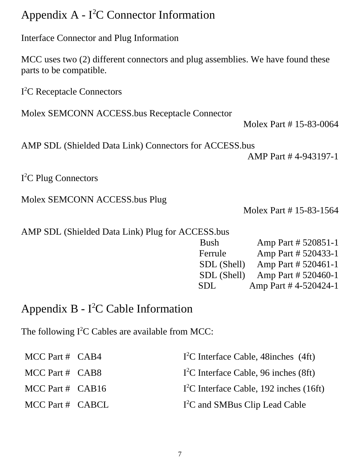#### Appendix A -  $I<sup>2</sup>C$  Connector Information

Interface Connector and Plug Information

MCC uses two (2) different connectors and plug assemblies. We have found these parts to be compatible.

I<sup>2</sup>C Receptacle Connectors

Molex SEMCONN ACCESS.bus Receptacle Connector

Molex Part # 15-83-0064

AMP SDL (Shielded Data Link) Connectors for ACCESS.bus

AMP Part # 4-943197-1

I 2 C Plug Connectors

Molex SEMCONN ACCESS.bus Plug

Molex Part # 15-83-1564

|  |  |  |  |  | AMP SDL (Shielded Data Link) Plug for ACCESS.bus |
|--|--|--|--|--|--------------------------------------------------|
|--|--|--|--|--|--------------------------------------------------|

| <b>Bush</b> | Amp Part # 520851-1  |
|-------------|----------------------|
| Ferrule     | Amp Part # 520433-1  |
| SDL (Shell) | Amp Part # 520461-1  |
| SDL (Shell) | Amp Part # 520460-1  |
| SDL         | Amp Part #4-520424-1 |

#### Appendix  $B - I^2C$  Cable Information

The following  $I^2C$  Cables are available from MCC:

| MCC Part # $CAB4$    | $I2C$ Interface Cable, 48 inches (4ft)     |
|----------------------|--------------------------------------------|
| MCC Part $#$ CAB8    | $I2C$ Interface Cable, 96 inches (8ft)     |
| MCC Part # $CAB16$   | $I2C$ Interface Cable, 192 inches (16ft)   |
| $MCC$ Part # $CABCL$ | I <sup>2</sup> C and SMBus Clip Lead Cable |